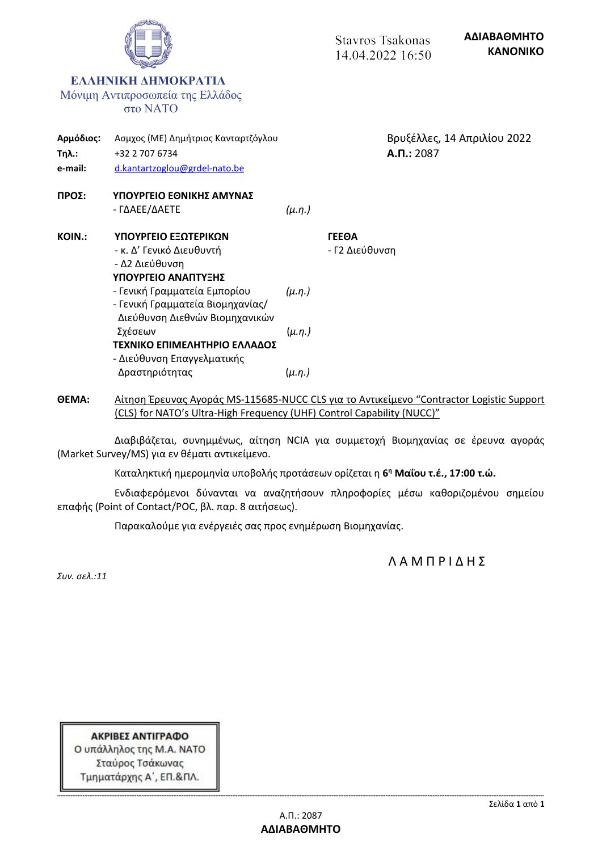

**ΘΕΜΑ:** Αίτηση Έρευνας Αγοράς MS-115685-NUCC CLS για το Αντικείμενο "Contractor Logistic Support (CLS) for NATO's Ultra-High Frequency (UHF) Control Capability (NUCC)"

Διαβιβάζεται, συνημμένως, αίτηση NCIA για συμμετοχή Βιομηχανίας σε έρευνα αγοράς (Market Survey/MS) για εν θέματι αντικείμενο.

Καταληκτική ημερομηνία υποβολής προτάσεων ορίζεται η **6 <sup>η</sup> Μαΐου τ.έ., 17:00 τ.ώ.**

Ενδιαφερόμενοι δύνανται να αναζητήσουν πληροφορίες μέσω καθοριζομένου σημείου επαφής (Point of Contact/POC, βλ. παρ. 8 αιτήσεως).

Παρακαλούμε για ενέργειές σας προς ενημέρωση Βιομηχανίας.

Λ Α Μ Π Ρ Ι Δ Η Σ

*Συν. σελ.:11*

ΑΚΡΙΒΕΣ ΑΝΤΙΓΡΑΦΟ Ο υπάλληλος της Μ.Α. ΝΑΤΟ Σταύρος Τσάκωνας Τμηματάρχης Α΄, ΕΠ.&ΠΛ.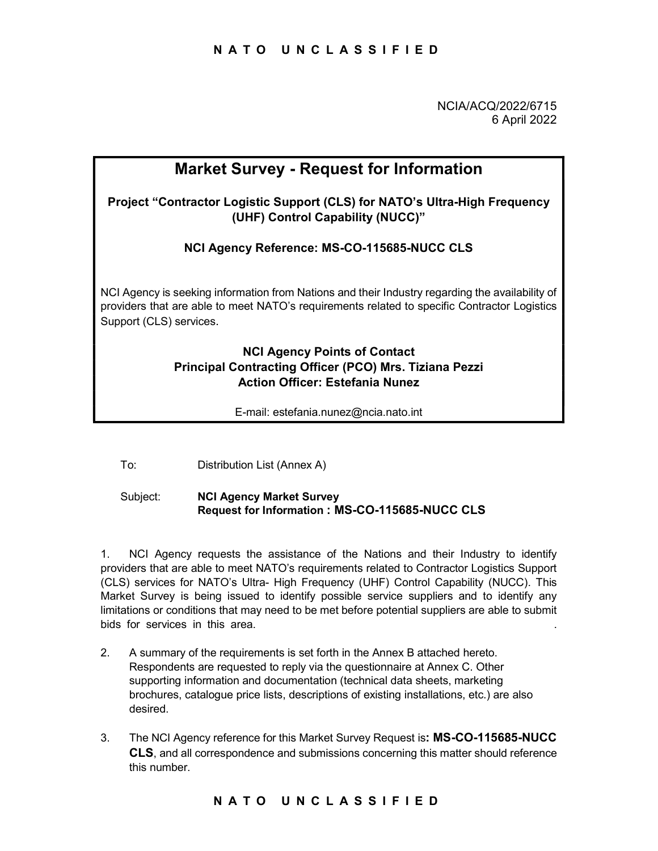NCIA/ACQ/2022/6715 6 April 2022

# Market Survey - Request for Information Project "Contractor Logistic Support (CLS) for NATO's Ultra-High Frequency (UHF) Control Capability (NUCC)" NCI Agency Reference: MS-CO-115685-NUCC CLS NCI Agency is seeking information from Nations and their Industry regarding the availability of providers that are able to meet NATO's requirements related to specific Contractor Logistics Support (CLS) services. NCI Agency Points of Contact Principal Contracting Officer (PCO) Mrs. Tiziana Pezzi Action Officer: Estefania Nunez

E-mail: estefania.nunez@ncia.nato.int

To: Distribution List (Annex A)

## Subject: NCI Agency Market Survey Request for Information : MS-CO-115685-NUCC CLS

uests the assistance of the Nations and their Industry to identify<br>to meet NATO's requirements related to Contractor Logistics Support<br>TO's Ultra- High Frequency (UHF) Control Capability (NUCC). This<br>ig issued to identify 1. NCI Agency requests the assistance of the Nations and their Industry to identify providers that are able to meet NATO's requirements related to Contractor Logistics Support (CLS) services for NATO's Ultra- High Frequency (UHF) Control Capability (NUCC). This Market Survey is being issued to identify possible service suppliers and to identify any limitations or conditions that may need to be met before potential suppliers are able to submit bids for services in this area.

- 2. A summary of the requirements is set forth in the Annex B attached hereto. Respondents are requested to reply via the questionnaire at Annex C. Other supporting information and documentation (technical data sheets, marketing brochures, catalogue price lists, descriptions of existing installations, etc.) are also desired.
- 3. The NCI Agency reference for this Market Survey Request is: MS-CO-115685-NUCC CLS, and all correspondence and submissions concerning this matter should reference this number.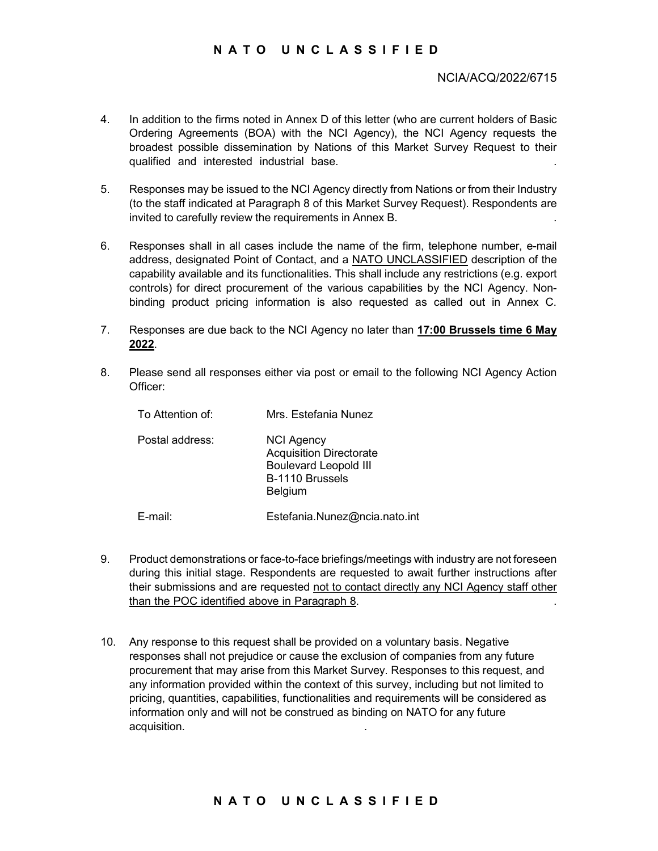# N A T O U N C L A S S I F I E D<br>NCIA/ACQ/2022/6715<br>firms noted in Anney D of this letter (who are current holders of Basic

## NCIA/ACQ/2022/6715

- 4. In addition to the firms noted in Annex D of this letter (who are current holders of Basic Ordering Agreements (BOA) with the NCI Agency), the NCI Agency requests the broadest possible dissemination by Nations of this Market Survey Request to their qualified and interested industrial base.<br>5. Responses may be issued to the NCI Agency directly from Nations or from their Industry
- (to the staff indicated at Paragraph 8 of this Market Survey Request). Respondents are invited to carefully review the requirements in Annex B. .
- 6. Responses shall in all cases include the name of the firm, telephone number, e-mail address, designated Point of Contact, and a NATO UNCLASSIFIED description of the capability available and its functionalities. This shall include any restrictions (e.g. export controls) for direct procurement of the various capabilities by the NCI Agency. Nonbinding product pricing information is also requested as called out in Annex C.
- 7. Responses are due back to the NCI Agency no later than 17:00 Brussels time 6 May 2022.<br>8. Please send all responses either via post or email to the following NCI Agency Action
- Officer:

| To Attention of: | Mrs. Estefania Nunez                                                                                                     |
|------------------|--------------------------------------------------------------------------------------------------------------------------|
| Postal address:  | <b>NCI Agency</b><br><b>Acquisition Directorate</b><br><b>Boulevard Leopold III</b><br>B-1110 Brussels<br><b>Belgium</b> |
| E-mail:          | Estefania.Nunez@ncia.nato.int                                                                                            |

- 9. Product demonstrations or face-to-face briefings/meetings with industry are not foreseen during this initial stage. Respondents are requested to await further instructions after their submissions and are requested not to contact directly any NCI Agency staff other than the POC identified above in Paragraph 8. .
- $\blacksquare$ <br>
Exercise to-face briefings/meetings with industry are not foreseen<br>
stage. Respondents are requested to await further instructions after<br>
and are requested <u>not to contact directly any NCI</u> Agency staff other<br>
thi 10. Any response to this request shall be provided on a voluntary basis. Negative responses shall not prejudice or cause the exclusion of companies from any future procurement that may arise from this Market Survey. Responses to this request, and any information provided within the context of this survey, including but not limited to pricing, quantities, capabilities, functionalities and requirements will be considered as information only and will not be construed as binding on NATO for any future acquisition. .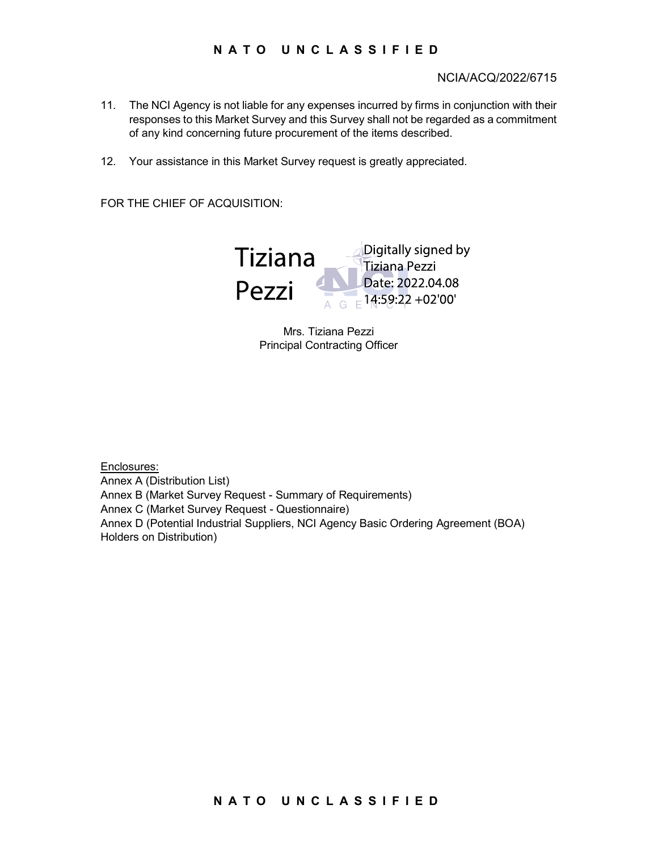## NCIA/ACQ/2022/6715

- N A T O U N C L A S S I F I E D<br>NCIA/ACQ/2022/6715<br>is not liable for any expenses incurred by firms in conjunction with their<br>Market Survey and this Survey shall not be regarded as a commitment 11. The NCI Agency is not liable for any expenses incurred by firms in conjunction with their responses to this Market Survey and this Survey shall not be regarded as a commitment of any kind concerning future procurement of the items described.
- 12. Your assistance in this Market Survey request is greatly appreciated.

FOR THE CHIEF OF ACQUISITION:



Mrs. Tiziana Pezzi Principal Contracting Officer

ustrial Suppliers, NCI Agency Basic Ordering Agreement (BOA)<br>)<br>N A T O U N C L A S S I F I E D Enclosures: Annex A (Distribution List) Annex B (Market Survey Request - Summary of Requirements) Annex C (Market Survey Request - Questionnaire) Annex D (Potential Industrial Suppliers, NCI Agency Basic Ordering Agreement (BOA) Holders on Distribution)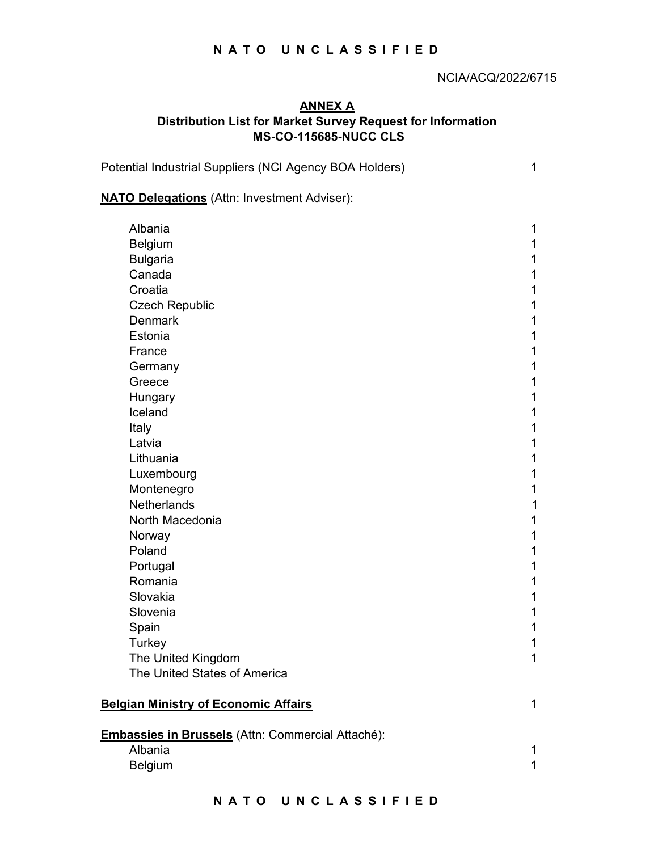## NCIA/ACQ/2022/6715

# N A T O U N C L A S S I F I E D<br>
NCIA/ACQ/2022/6715<br>
ANNEX A ANNEX A Distribution List for Market Survey Request for Information MS-CO-115685-NUCC CLS

Potential Industrial Suppliers (NCI Agency BOA Holders) 1

## **NATO Delegations** (Attn: Investment Adviser):

| Albania                                           |                |
|---------------------------------------------------|----------------|
| <b>Belgium</b>                                    |                |
| <b>Bulgaria</b>                                   |                |
| Canada                                            |                |
| Croatia                                           |                |
| <b>Czech Republic</b>                             |                |
| <b>Denmark</b>                                    |                |
| Estonia                                           |                |
| France                                            |                |
| Germany                                           |                |
| Greece                                            |                |
| Hungary                                           |                |
| Iceland                                           |                |
| Italy                                             |                |
| Latvia                                            |                |
| Lithuania                                         |                |
| Luxembourg                                        |                |
| Montenegro                                        |                |
| Netherlands                                       |                |
| North Macedonia                                   |                |
| Norway                                            |                |
| Poland                                            |                |
| Portugal                                          |                |
| Romania                                           |                |
| Slovakia                                          |                |
| Slovenia                                          |                |
| Spain                                             |                |
| Turkey                                            |                |
| The United Kingdom                                | 1              |
| The United States of America                      |                |
|                                                   |                |
| <b>Belgian Ministry of Economic Affairs</b>       | $\mathbf 1$    |
|                                                   |                |
| Embassies in Brussels (Attn: Commercial Attaché): |                |
| Albania                                           | $\mathbf{1}$   |
| Belgium                                           | $\overline{1}$ |
|                                                   |                |
| NATO UNCLASSIFIED                                 |                |
|                                                   |                |
|                                                   |                |
|                                                   |                |
|                                                   |                |
|                                                   |                |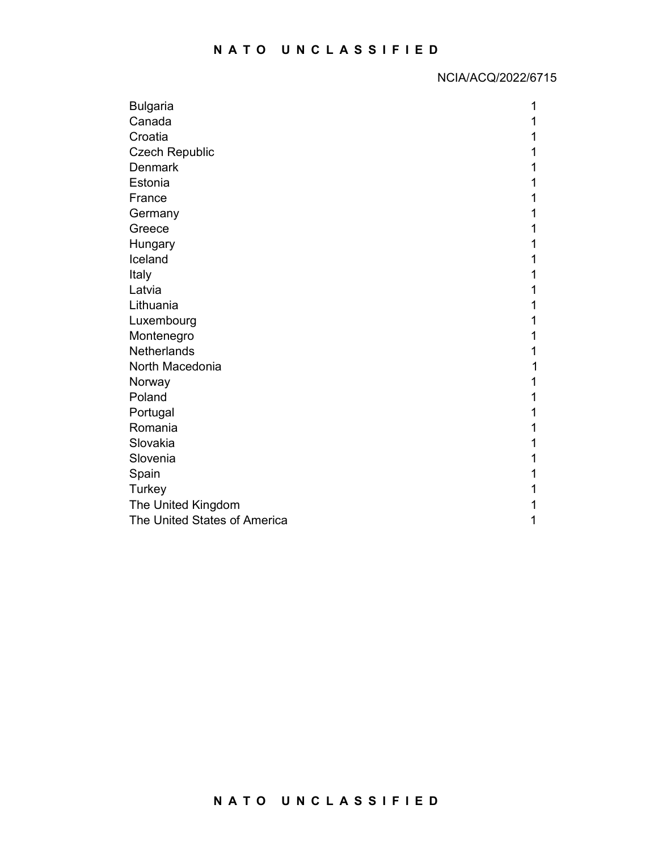| <b>NATO</b>                  | UNCLASSIFIED       |
|------------------------------|--------------------|
|                              |                    |
|                              | NCIA/ACQ/2022/6715 |
| <b>Bulgaria</b>              |                    |
| Canada                       |                    |
| Croatia                      |                    |
| <b>Czech Republic</b>        |                    |
| Denmark                      |                    |
| Estonia                      |                    |
| France                       |                    |
| Germany                      |                    |
| Greece                       |                    |
| Hungary                      |                    |
| Iceland                      |                    |
| Italy                        |                    |
| Latvia                       |                    |
| Lithuania                    |                    |
| Luxembourg                   |                    |
| Montenegro                   |                    |
| Netherlands                  |                    |
| North Macedonia              |                    |
| Norway                       |                    |
| Poland                       |                    |
| Portugal                     |                    |
| Romania                      |                    |
| Slovakia                     |                    |
| Slovenia                     |                    |
| Spain                        |                    |
| Turkey                       |                    |
| The United Kingdom           |                    |
| The United States of America |                    |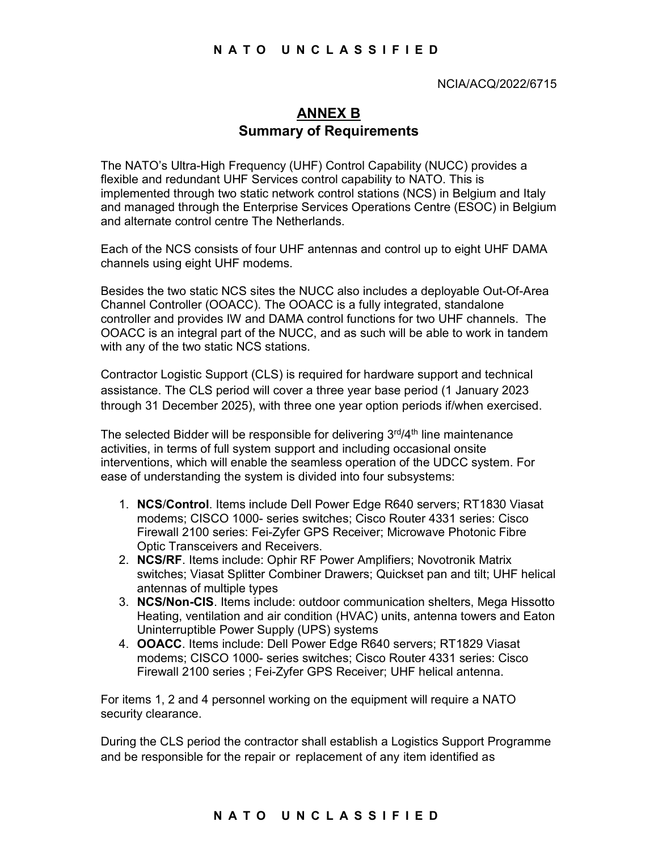# ANNEX B Summary of Requirements

The NATO's Ultra-High Frequency (UHF) Control Capability (NUCC) provides a flexible and redundant UHF Services control capability to NATO. This is implemented through two static network control stations (NCS) in Belgium and Italy and managed through the Enterprise Services Operations Centre (ESOC) in Belgium and alternate control centre The Netherlands.

Each of the NCS consists of four UHF antennas and control up to eight UHF DAMA channels using eight UHF modems.

Besides the two static NCS sites the NUCC also includes a deployable Out-Of-Area Channel Controller (OOACC). The OOACC is a fully integrated, standalone controller and provides IW and DAMA control functions for two UHF channels. The OOACC is an integral part of the NUCC, and as such will be able to work in tandem with any of the two static NCS stations.

Contractor Logistic Support (CLS) is required for hardware support and technical assistance. The CLS period will cover a three year base period (1 January 2023 through 31 December 2025), with three one year option periods if/when exercised.

The selected Bidder will be responsible for delivering  $3<sup>rd</sup>/4<sup>th</sup>$  line maintenance activities, in terms of full system support and including occasional onsite interventions, which will enable the seamless operation of the UDCC system. For ease of understanding the system is divided into four subsystems:

- 1. NCS/Control. Items include Dell Power Edge R640 servers; RT1830 Viasat modems; CISCO 1000- series switches; Cisco Router 4331 series: Cisco Firewall 2100 series: Fei-Zyfer GPS Receiver; Microwave Photonic Fibre Optic Transceivers and Receivers.
- 2. NCS/RF. Items include: Ophir RF Power Amplifiers; Novotronik Matrix switches; Viasat Splitter Combiner Drawers; Quickset pan and tilt; UHF helical antennas of multiple types
- Norse The Transfer Theories, the Combiner Theories and Receivers.<br>
Ners and Receivers.<br>
Si include: Ophir RF Power Amplifiers; Novotronik Matrix<br>
at Splitter Combiner Drawers; Quickset pan and tilt; UHF helical<br>
attinum an 3. NCS/Non-CIS. Items include: outdoor communication shelters, Mega Hissotto Heating, ventilation and air condition (HVAC) units, antenna towers and Eaton Uninterruptible Power Supply (UPS) systems
- 4. OOACC. Items include: Dell Power Edge R640 servers; RT1829 Viasat modems; CISCO 1000- series switches; Cisco Router 4331 series: Cisco Firewall 2100 series ; Fei-Zyfer GPS Receiver; UHF helical antenna.

For items 1, 2 and 4 personnel working on the equipment will require a NATO security clearance.

During the CLS period the contractor shall establish a Logistics Support Programme and be responsible for the repair or replacement of any item identified as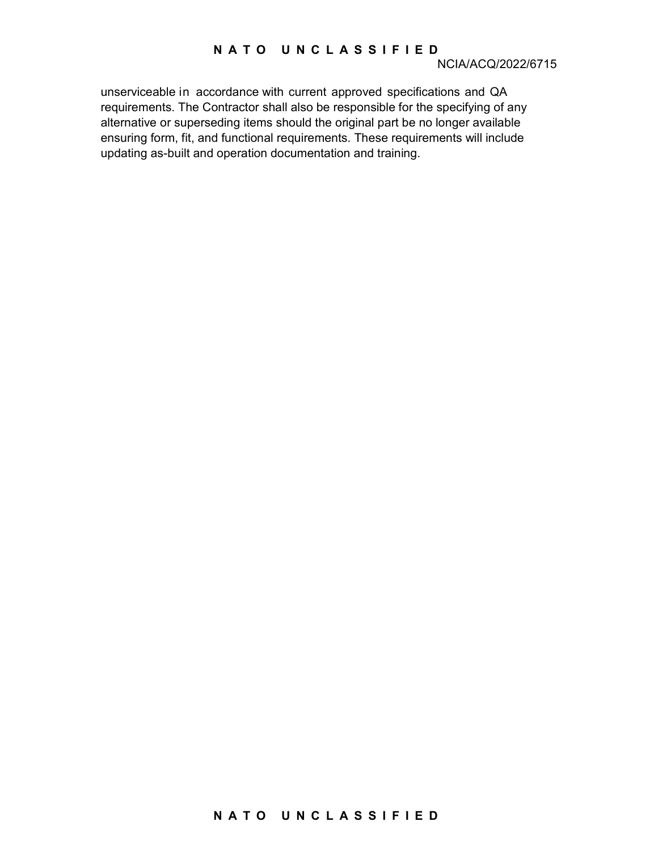N A T O U N C L A S S I F I E D<br>
NCIA/ACQ/2022/6715<br>
cordance with current approved specifications and QA<br>
ontractor shall also be responsible for the specifying of any unserviceable in accordance with current approved specifications and QA requirements. The Contractor shall also be responsible for the specifying of any alternative or superseding items should the original part be no longer available ensuring form, fit, and functional requirements. These requirements will include updating as-built and operation documentation and training.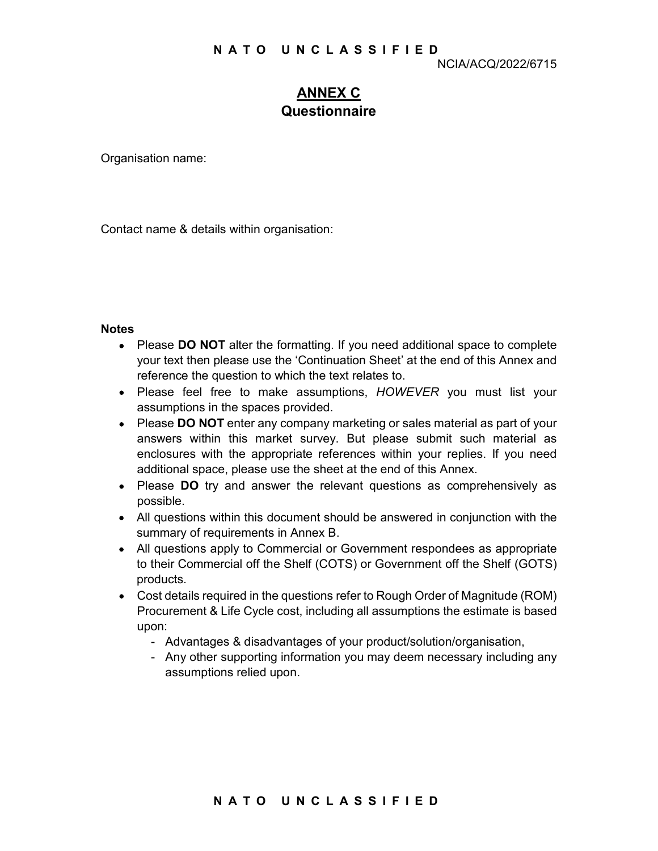# N A T O U N C L A S S I F I E D<br>
NCIA/ACQ/2022/6715<br>
<u>ANNEX C</u><br>
Questionnaire ANNEX C Questionnaire

Organisation name:

Contact name & details within organisation:

## **Notes**

- Please DO NOT alter the formatting. If you need additional space to complete your text then please use the 'Continuation Sheet' at the end of this Annex and reference the question to which the text relates to.
- Please feel free to make assumptions, HOWEVER you must list your assumptions in the spaces provided.
- Please DO NOT enter any company marketing or sales material as part of your answers within this market survey. But please submit such material as enclosures with the appropriate references within your replies. If you need additional space, please use the sheet at the end of this Annex.
- Please DO try and answer the relevant questions as comprehensively as possible.
- All questions within this document should be answered in conjunction with the summary of requirements in Annex B.
- All questions apply to Commercial or Government respondees as appropriate to their Commercial off the Shelf (COTS) or Government off the Shelf (GOTS) products.
- What the cooleration critical or discussed in originization with the display of promotectial of the Shelf (COTS) or Government off the Shelf (GOTS) quired in the questions refer to Rough Order of Magnitude (ROM) at Life Cy Cost details required in the questions refer to Rough Order of Magnitude (ROM) Procurement & Life Cycle cost, including all assumptions the estimate is based upon:
	- Advantages & disadvantages of your product/solution/organisation,
	- Any other supporting information you may deem necessary including any assumptions relied upon.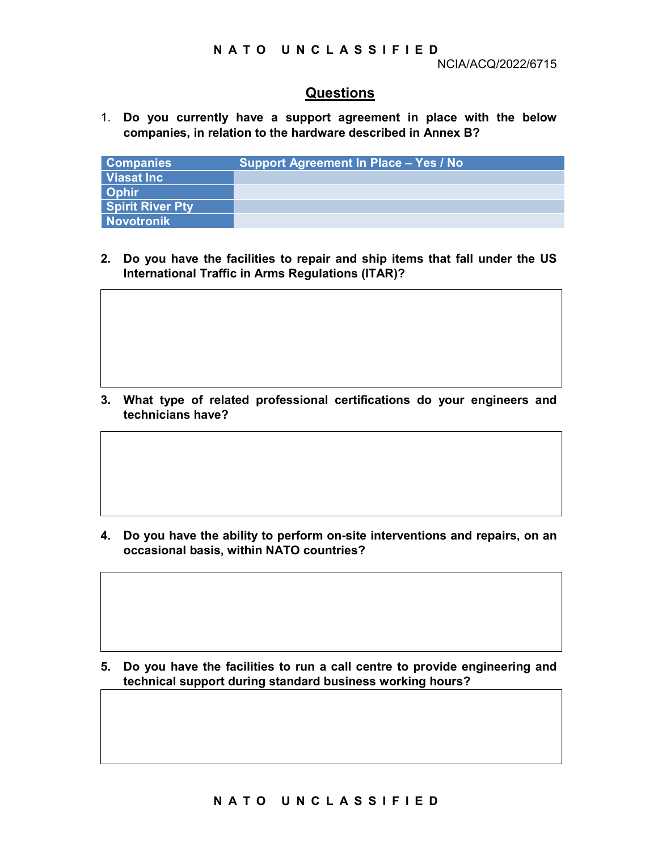## Questions

N A T O U N C L A S S I F I E D<br>
NCIA/ACQ/2022/6715<br>
<u>Questions</u><br>
fly have a support agreement in place with the below 1. Do you currently have a support agreement in place with the below companies, in relation to the hardware described in Annex B?

| <b>Companies</b>        | Support Agreement In Place - Yes / No |
|-------------------------|---------------------------------------|
| Viasat Inc              |                                       |
| Ophir                   |                                       |
| <b>Spirit River Pty</b> |                                       |
| Novotronik              |                                       |

2. Do you have the facilities to repair and ship items that fall under the US International Traffic in Arms Regulations (ITAR)?

3. What type of related professional certifications do your engineers and technicians have?

4. Do you have the ability to perform on-site interventions and repairs, on an occasional basis, within NATO countries?

e ability to perform on-site interventions and repairs, on an<br>s, within NATO countries?<br><br>e facilities to run a call centre to provide engineering and<br>ont during standard business working hours?<br><br>NATO UNCLASSIFIED 5. Do you have the facilities to run a call centre to provide engineering and technical support during standard business working hours?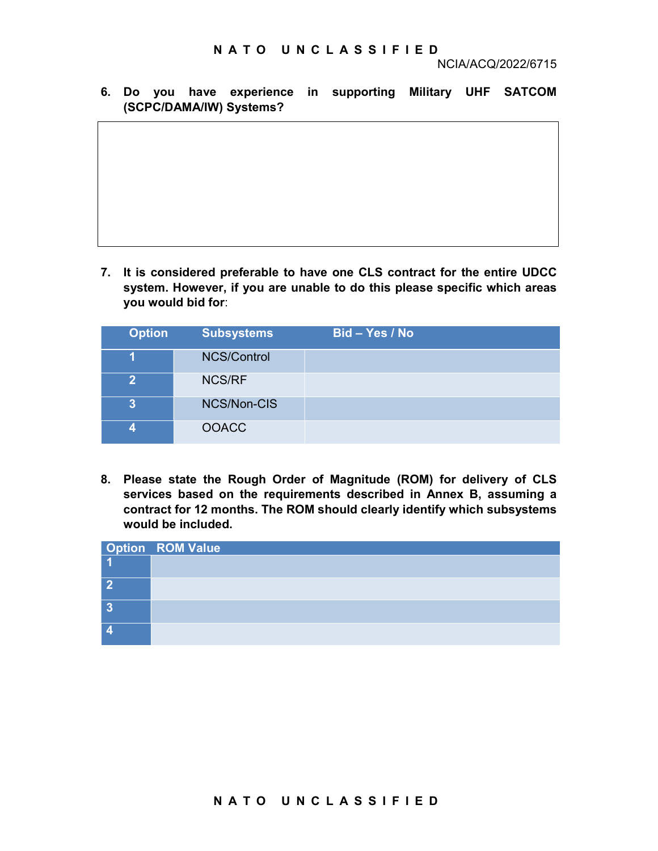N A T O U N C L A S S I F I E D<br>NCIA/ACQ/2022/6715<br>Pexperience in supporting Military UHF SATCOM<br>V)Systems? 6. Do you have experience in supporting Military UHF SATCOM (SCPC/DAMA/IW) Systems?

7. It is considered preferable to have one CLS contract for the entire UDCC system. However, if you are unable to do this please specific which areas you would bid for:

| <b>Option</b>           | <b>Subsystems</b> | Bid – Yes / No |
|-------------------------|-------------------|----------------|
|                         | NCS/Control       |                |
| $\mathbf 2$             | <b>NCS/RF</b>     |                |
| 3                       | NCS/Non-CIS       |                |
| $\overline{\mathbf{A}}$ | <b>OOACC</b>      |                |

8. Please state the Rough Order of Magnitude (ROM) for delivery of CLS services based on the requirements described in Annex B, assuming a contract for 12 months. The ROM should clearly identify which subsystems would be included.

| Option ROM Value                                         |
|----------------------------------------------------------|
| $\boxed{2}$<br>$\overline{\mathbf{3}}$<br>$\overline{4}$ |
|                                                          |
|                                                          |
|                                                          |
|                                                          |
|                                                          |
|                                                          |
|                                                          |
|                                                          |
|                                                          |
|                                                          |
|                                                          |
| NATO UNCLASSIFIED                                        |
|                                                          |
|                                                          |
|                                                          |